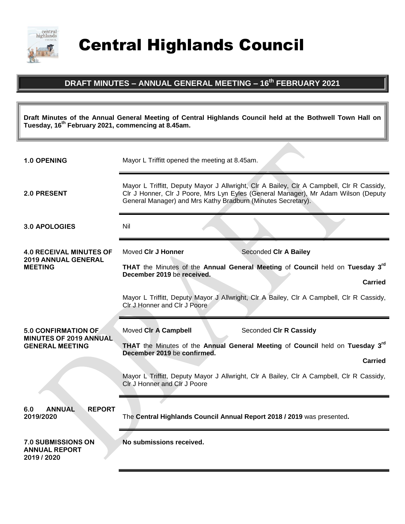

Central Highlands Council

## **DRAFT MINUTES – ANNUAL GENERAL MEETING – 16th FEBRUARY 2021**

**Draft Minutes of the Annual General Meeting of Central Highlands Council held at the Bothwell Town Hall on Tuesday, 16th February 2021, commencing at 8.45am.**

| <b>1.0 OPENING</b>                                                                    | Mayor L Triffitt opened the meeting at 8.45am.                                                                                                                                                                                                 |
|---------------------------------------------------------------------------------------|------------------------------------------------------------------------------------------------------------------------------------------------------------------------------------------------------------------------------------------------|
| 2.0 PRESENT                                                                           | Mayor L Triffitt, Deputy Mayor J Allwright, Clr A Bailey, Clr A Campbell, Clr R Cassidy,<br>CIr J Honner, CIr J Poore, Mrs Lyn Eyles (General Manager), Mr Adam Wilson (Deputy<br>General Manager) and Mrs Kathy Bradburn (Minutes Secretary). |
| 3.0 APOLOGIES                                                                         | Nil                                                                                                                                                                                                                                            |
| <b>4.0 RECEIVAL MINUTES OF</b><br><b>2019 ANNUAL GENERAL</b><br><b>MEETING</b>        | Moved CIr J Honner<br>Seconded CIr A Bailey                                                                                                                                                                                                    |
|                                                                                       | THAT the Minutes of the Annual General Meeting of Council held on Tuesday 3 <sup>rd</sup><br>December 2019 be received.<br><b>Carried</b>                                                                                                      |
|                                                                                       | Mayor L Triffitt, Deputy Mayor J Allwright, Clr A Bailey, Clr A Campbell, Clr R Cassidy,<br>CIr J Honner and CIr J Poore                                                                                                                       |
| <b>5.0 CONFIRMATION OF</b><br><b>MINUTES OF 2019 ANNUAL</b><br><b>GENERAL MEETING</b> | Moved CIr A Campbell<br>Seconded CIr R Cassidy                                                                                                                                                                                                 |
|                                                                                       | THAT the Minutes of the Annual General Meeting of Council held on Tuesday 3rd<br>December 2019 be confirmed.<br><b>Carried</b>                                                                                                                 |
|                                                                                       | Mayor L Triffitt, Deputy Mayor J Allwright, Clr A Bailey, Clr A Campbell, Clr R Cassidy,<br>Clr J Honner and Clr J Poore                                                                                                                       |
| <b>REPORT</b><br><b>ANNUAL</b><br>6.0<br>2019/2020                                    | The Central Highlands Council Annual Report 2018 / 2019 was presented.                                                                                                                                                                         |
| <b>7.0 SUBMISSIONS ON</b><br><b>ANNUAL REPORT</b><br>2019 / 2020                      | No submissions received.                                                                                                                                                                                                                       |